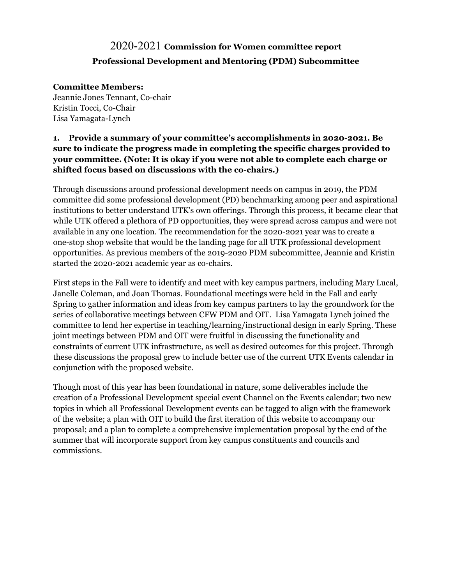# 2020-2021 **Commission for Women committee report Professional Development and Mentoring (PDM) Subcommittee**

#### **Committee Members:**

Jeannie Jones Tennant, Co-chair Kristin Tocci, Co-Chair Lisa Yamagata-Lynch

#### **1. Provide a summary of your committee's accomplishments in 2020-2021. Be sure to indicate the progress made in completing the specific charges provided to your committee. (Note: It is okay if you were not able to complete each charge or shifted focus based on discussions with the co-chairs.)**

Through discussions around professional development needs on campus in 2019, the PDM committee did some professional development (PD) benchmarking among peer and aspirational institutions to better understand UTK's own offerings. Through this process, it became clear that while UTK offered a plethora of PD opportunities, they were spread across campus and were not available in any one location. The recommendation for the 2020-2021 year was to create a one-stop shop website that would be the landing page for all UTK professional development opportunities. As previous members of the 2019-2020 PDM subcommittee, Jeannie and Kristin started the 2020-2021 academic year as co-chairs.

First steps in the Fall were to identify and meet with key campus partners, including Mary Lucal, Janelle Coleman, and Joan Thomas. Foundational meetings were held in the Fall and early Spring to gather information and ideas from key campus partners to lay the groundwork for the series of collaborative meetings between CFW PDM and OIT. Lisa Yamagata Lynch joined the committee to lend her expertise in teaching/learning/instructional design in early Spring. These joint meetings between PDM and OIT were fruitful in discussing the functionality and constraints of current UTK infrastructure, as well as desired outcomes for this project. Through these discussions the proposal grew to include better use of the current UTK Events calendar in conjunction with the proposed website.

Though most of this year has been foundational in nature, some deliverables include the creation of a Professional Development special event Channel on the Events calendar; two new topics in which all Professional Development events can be tagged to align with the framework of the website; a plan with OIT to build the first iteration of this website to accompany our proposal; and a plan to complete a comprehensive implementation proposal by the end of the summer that will incorporate support from key campus constituents and councils and commissions.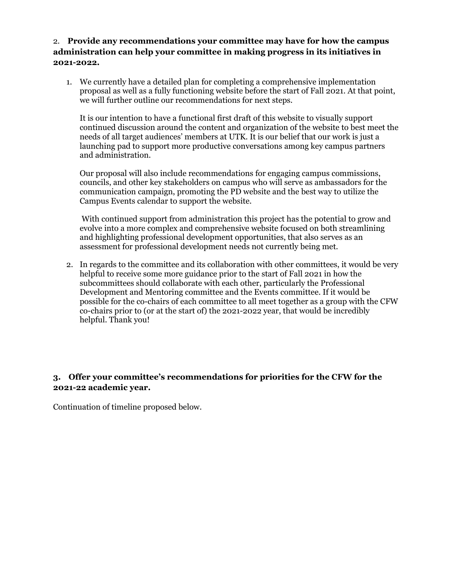#### 2. **Provide any recommendations your committee may have for how the campus administration can help your committee in making progress in its initiatives in 2021-2022.**

1. We currently have a detailed plan for completing a comprehensive implementation proposal as well as a fully functioning website before the start of Fall 2021. At that point, we will further outline our recommendations for next steps.

It is our intention to have a functional first draft of this website to visually support continued discussion around the content and organization of the website to best meet the needs of all target audiences' members at UTK. It is our belief that our work is just a launching pad to support more productive conversations among key campus partners and administration.

Our proposal will also include recommendations for engaging campus commissions, councils, and other key stakeholders on campus who will serve as ambassadors for the communication campaign, promoting the PD website and the best way to utilize the Campus Events calendar to support the website.

With continued support from administration this project has the potential to grow and evolve into a more complex and comprehensive website focused on both streamlining and highlighting professional development opportunities, that also serves as an assessment for professional development needs not currently being met.

2. In regards to the committee and its collaboration with other committees, it would be very helpful to receive some more guidance prior to the start of Fall 2021 in how the subcommittees should collaborate with each other, particularly the Professional Development and Mentoring committee and the Events committee. If it would be possible for the co-chairs of each committee to all meet together as a group with the CFW co-chairs prior to (or at the start of) the 2021-2022 year, that would be incredibly helpful. Thank you!

#### **3. Offer your committee's recommendations for priorities for the CFW for the 2021-22 academic year.**

Continuation of timeline proposed below.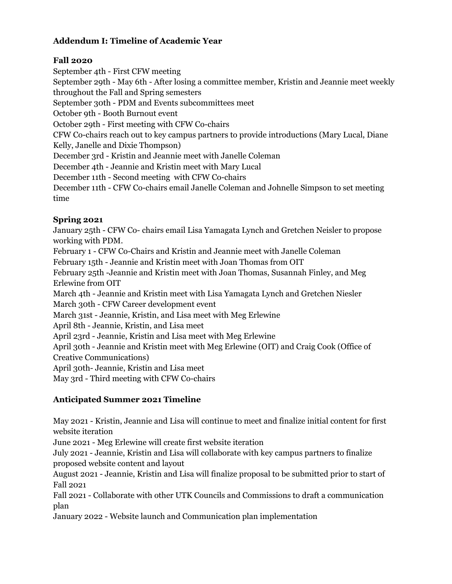### **Addendum I: Timeline of Academic Year**

### **Fall 2020**

September 4th - First CFW meeting

September 29th - May 6th - After losing a committee member, Kristin and Jeannie meet weekly throughout the Fall and Spring semesters

September 30th - PDM and Events subcommittees meet

October 9th - Booth Burnout event

October 29th - First meeting with CFW Co-chairs

CFW Co-chairs reach out to key campus partners to provide introductions (Mary Lucal, Diane Kelly, Janelle and Dixie Thompson)

December 3rd - Kristin and Jeannie meet with Janelle Coleman

December 4th - Jeannie and Kristin meet with Mary Lucal

December 11th - Second meeting with CFW Co-chairs

December 11th - CFW Co-chairs email Janelle Coleman and Johnelle Simpson to set meeting time

### **Spring 2021**

January 25th - CFW Co- chairs email Lisa Yamagata Lynch and Gretchen Neisler to propose working with PDM. February 1 - CFW Co-Chairs and Kristin and Jeannie meet with Janelle Coleman February 15th - Jeannie and Kristin meet with Joan Thomas from OIT February 25th -Jeannie and Kristin meet with Joan Thomas, Susannah Finley, and Meg Erlewine from OIT March 4th - Jeannie and Kristin meet with Lisa Yamagata Lynch and Gretchen Niesler March 30th - CFW Career development event March 31st - Jeannie, Kristin, and Lisa meet with Meg Erlewine April 8th - Jeannie, Kristin, and Lisa meet April 23rd - Jeannie, Kristin and Lisa meet with Meg Erlewine April 30th - Jeannie and Kristin meet with Meg Erlewine (OIT) and Craig Cook (Office of Creative Communications) April 30th- Jeannie, Kristin and Lisa meet May 3rd - Third meeting with CFW Co-chairs

### **Anticipated Summer 2021 Timeline**

May 2021 - Kristin, Jeannie and Lisa will continue to meet and finalize initial content for first website iteration

June 2021 - Meg Erlewine will create first website iteration

July 2021 - Jeannie, Kristin and Lisa will collaborate with key campus partners to finalize proposed website content and layout

August 2021 - Jeannie, Kristin and Lisa will finalize proposal to be submitted prior to start of Fall 2021

Fall 2021 - Collaborate with other UTK Councils and Commissions to draft a communication plan

January 2022 - Website launch and Communication plan implementation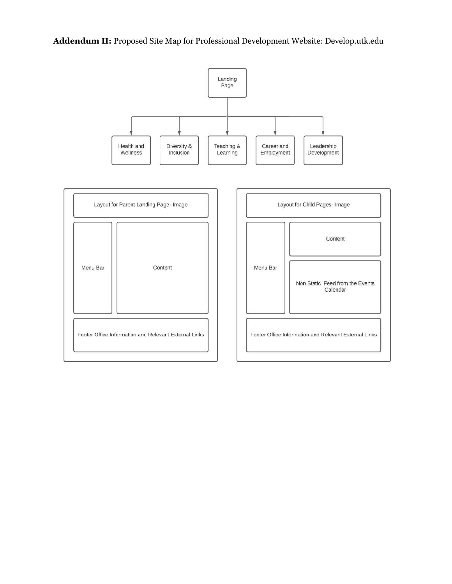**Addendum II:** Proposed Site Map for Professional Development Website: Develop.utk.edu

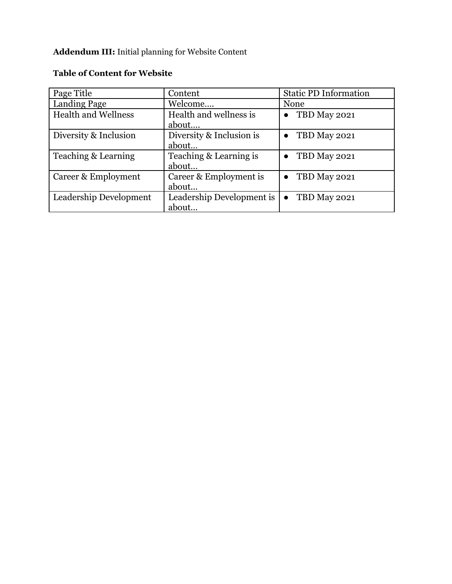## **Addendum III:** Initial planning for Website Content

| Page Title                 | Content                   | <b>Static PD Information</b> |
|----------------------------|---------------------------|------------------------------|
| <b>Landing Page</b>        | Welcome                   | None                         |
| <b>Health and Wellness</b> | Health and wellness is    | TBD May 2021                 |
|                            | about                     |                              |
| Diversity & Inclusion      | Diversity & Inclusion is  | TBD May 2021                 |
|                            | about                     |                              |
| Teaching & Learning        | Teaching & Learning is    | TBD May 2021                 |
|                            | about                     |                              |
| Career & Employment        | Career & Employment is    | TBD May 2021                 |
|                            | about                     |                              |
| Leadership Development     | Leadership Development is | TBD May 2021<br>$\bullet$    |
|                            | about                     |                              |

### **Table of Content for Website**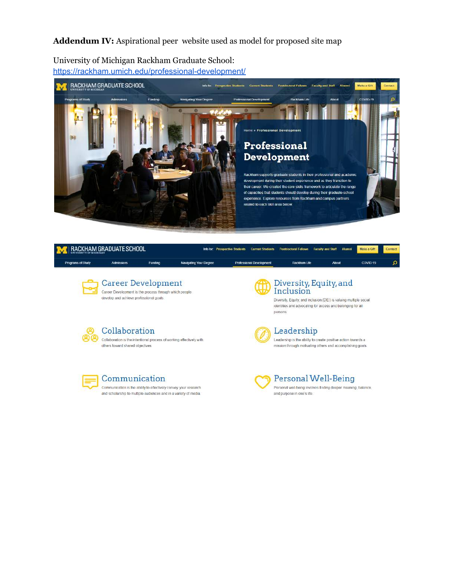**Addendum IV:** Aspirational peer website used as model for proposed site map

University of Michigan Rackham Graduate School: <https://rackham.umich.edu/professional-development/>



|                   | RACKHAM GRADUATE SCHOOL                                                                                                                                |         |                        | <b>Info for</b> Prospective Students<br><b>Current Students</b> | <b>Postdoctoral Fellows</b>                                                                                                                                                       | <b>Faculty and Staff</b><br>Alumni | Make a Gift | Contact |
|-------------------|--------------------------------------------------------------------------------------------------------------------------------------------------------|---------|------------------------|-----------------------------------------------------------------|-----------------------------------------------------------------------------------------------------------------------------------------------------------------------------------|------------------------------------|-------------|---------|
| Programs of Study | <b>Admissions</b>                                                                                                                                      | Funding | Navigating Your Degree | Professional Development                                        | Rackham Life                                                                                                                                                                      | <b>About</b>                       | COVID-19    | Ω       |
|                   | <b>Career Development</b><br>Career Development is the process through which people<br>develop and achieve professional goals.                         |         |                        |                                                                 | Diversity, Equity, and<br>Inclusion<br>Diversity, Equity, and Inclusion (DEI) is valuing multiple social<br>identities and advocating for access and belonging for all<br>persons |                                    |             |         |
|                   | Collaboration<br>Collaboration is the intentional process of working effectively with<br>others toward shared objectives                               |         |                        |                                                                 | Leadership<br>Leadership is the ability to create positive action towards a<br>mission through motivating others and accomplishing goals.                                         |                                    |             |         |
|                   | Communication<br>Communication is the ability to effectively convey your research.<br>and scholarship to multiple audiences and in a variety of media. |         |                        |                                                                 | Personal Well-Being<br>Personal well-being involves finding deeper meaning, balance,<br>and purpose in one's life.                                                                |                                    |             |         |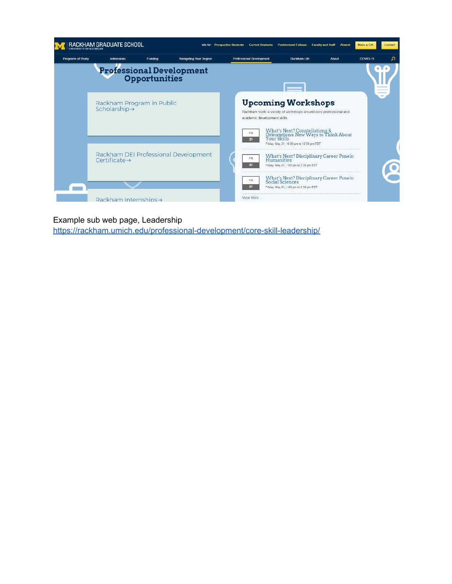

#### Example sub web page, Leadership

<https://rackham.umich.edu/professional-development/core-skill-leadership/>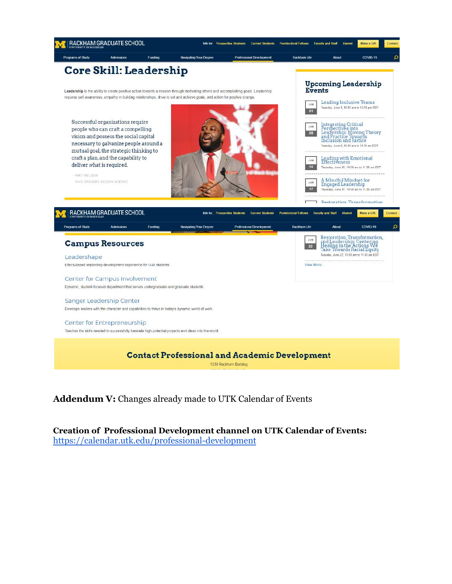

**Contact Professional and Academic Development** 

1530 Rackham Building

**Addendum V:** Changes already made to UTK Calendar of Events

**Creation of Professional Development channel on UTK Calendar of Events:** <https://calendar.utk.edu/professional-development>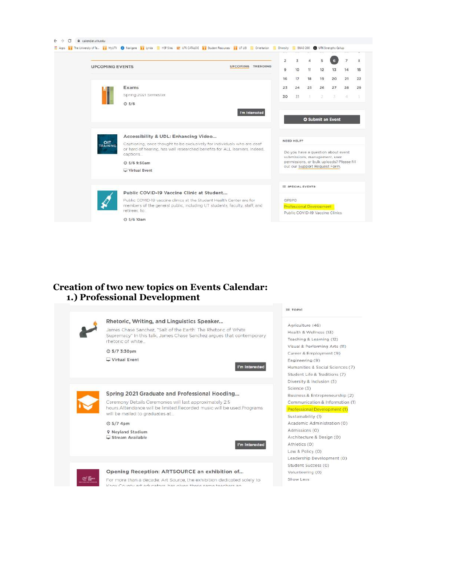| <b>UPCOMING EVENTS</b><br>UPCOMING TRENDING<br>9<br>10<br>11<br>12<br>13<br>17<br>18<br>19<br>20<br>16<br>Exams<br>25<br>26<br>27<br>23<br>24<br>Spring 2021 Semester<br>31<br>30<br>×.<br>3<br>O <sub>5/6</sub><br>I'm interested<br><b>O</b> Submit an Event<br>Accessibility & UDL: Enhancing Video<br>NEED HELP?<br>OIT<br>Captioning, once thought to be exclusively for individuals who are deaf<br>TRAINING<br>or hard of hearing, has well researched benefits for ALL learners. Indeed,<br>Do you have a question about event<br>captions<br>submissions, management, user<br>permissions, or bulk uploads? Please fill<br>C 5/6 9:50am<br>out our Support Request Form.<br>Virtual Event<br><b>IE SPECIAL EVENTS</b><br>Public COVID-19 Vaccine Clinic at Student<br>Public COVID-19 vaccine clinics at the Student Health Center are for<br>GPSPD<br>members of the general public, including UT students, faculty, staff, and<br>Professional Development | $\overline{a}$<br>$\overline{7}$ | 5 | ä | 3 | $\overline{2}$ |  |
|-----------------------------------------------------------------------------------------------------------------------------------------------------------------------------------------------------------------------------------------------------------------------------------------------------------------------------------------------------------------------------------------------------------------------------------------------------------------------------------------------------------------------------------------------------------------------------------------------------------------------------------------------------------------------------------------------------------------------------------------------------------------------------------------------------------------------------------------------------------------------------------------------------------------------------------------------------------------------|----------------------------------|---|---|---|----------------|--|
|                                                                                                                                                                                                                                                                                                                                                                                                                                                                                                                                                                                                                                                                                                                                                                                                                                                                                                                                                                       | 15<br>14                         |   |   |   |                |  |
|                                                                                                                                                                                                                                                                                                                                                                                                                                                                                                                                                                                                                                                                                                                                                                                                                                                                                                                                                                       | 21<br>22                         |   |   |   |                |  |
|                                                                                                                                                                                                                                                                                                                                                                                                                                                                                                                                                                                                                                                                                                                                                                                                                                                                                                                                                                       | 29<br>28                         |   |   |   |                |  |
|                                                                                                                                                                                                                                                                                                                                                                                                                                                                                                                                                                                                                                                                                                                                                                                                                                                                                                                                                                       | 5<br>$\Lambda$                   |   |   |   |                |  |
|                                                                                                                                                                                                                                                                                                                                                                                                                                                                                                                                                                                                                                                                                                                                                                                                                                                                                                                                                                       |                                  |   |   |   |                |  |
|                                                                                                                                                                                                                                                                                                                                                                                                                                                                                                                                                                                                                                                                                                                                                                                                                                                                                                                                                                       |                                  |   |   |   |                |  |
|                                                                                                                                                                                                                                                                                                                                                                                                                                                                                                                                                                                                                                                                                                                                                                                                                                                                                                                                                                       |                                  |   |   |   |                |  |
|                                                                                                                                                                                                                                                                                                                                                                                                                                                                                                                                                                                                                                                                                                                                                                                                                                                                                                                                                                       |                                  |   |   |   |                |  |
|                                                                                                                                                                                                                                                                                                                                                                                                                                                                                                                                                                                                                                                                                                                                                                                                                                                                                                                                                                       |                                  |   |   |   |                |  |
|                                                                                                                                                                                                                                                                                                                                                                                                                                                                                                                                                                                                                                                                                                                                                                                                                                                                                                                                                                       |                                  |   |   |   |                |  |
|                                                                                                                                                                                                                                                                                                                                                                                                                                                                                                                                                                                                                                                                                                                                                                                                                                                                                                                                                                       |                                  |   |   |   |                |  |
|                                                                                                                                                                                                                                                                                                                                                                                                                                                                                                                                                                                                                                                                                                                                                                                                                                                                                                                                                                       |                                  |   |   |   |                |  |
|                                                                                                                                                                                                                                                                                                                                                                                                                                                                                                                                                                                                                                                                                                                                                                                                                                                                                                                                                                       |                                  |   |   |   |                |  |
|                                                                                                                                                                                                                                                                                                                                                                                                                                                                                                                                                                                                                                                                                                                                                                                                                                                                                                                                                                       |                                  |   |   |   |                |  |
|                                                                                                                                                                                                                                                                                                                                                                                                                                                                                                                                                                                                                                                                                                                                                                                                                                                                                                                                                                       |                                  |   |   |   |                |  |
|                                                                                                                                                                                                                                                                                                                                                                                                                                                                                                                                                                                                                                                                                                                                                                                                                                                                                                                                                                       |                                  |   |   |   |                |  |
| retirees to<br>Public COVID-19 Vaccine Clinics                                                                                                                                                                                                                                                                                                                                                                                                                                                                                                                                                                                                                                                                                                                                                                                                                                                                                                                        |                                  |   |   |   |                |  |

**E** TOPIC

#### **Creation of two new topics on Events Calendar: 1.) Professional Development**

| Rhetoric, Writing, and Linguistics Speaker<br>James Chase Sanchez, "Salt of the Earth: The Rhetoric of White<br>Supremacy" In this talk, James Chase Sanchez argues that contemporary<br>rhetoric of white<br>$O$ 5/7 3:30pm                                                      | Agriculture (46)<br>Health & Wellness (13)<br>Teaching & Learning (12)<br>Visual & Performing Arts (11)<br>Career & Employment (9)                                                                                    |
|-----------------------------------------------------------------------------------------------------------------------------------------------------------------------------------------------------------------------------------------------------------------------------------|-----------------------------------------------------------------------------------------------------------------------------------------------------------------------------------------------------------------------|
| Virtual Event<br>I'm Interested                                                                                                                                                                                                                                                   | Engineering (9)<br>Humanities & Social Sciences (7)<br>Student Life & Traditions (7)<br>Diversity & Inclusion (5)                                                                                                     |
| Spring 2021 Graduate and Professional Hooding<br>Ceremony Details Ceremonies will last approximately 2.5<br>hours Attendance will be limited Recorded music will be used Programs.<br>will be mailed to graduates at<br>© 5/7 4pm<br><b>9 Nevland Stadium</b><br>Stream Available | Science (3)<br>Business & Entrepreneurship (2)<br>Communication & Information (1)<br>Professional Development (1)<br>Sustainability (1)<br>Academic Administration (0)<br>Admissions (0)<br>Architecture & Design (0) |
| I'm Interested<br>Opening Reception: ARTSOURCE an exhibition of                                                                                                                                                                                                                   | Athletics (O)<br>Law & Policy (0)<br>Leadership Development (0)<br>Student Success (O)<br>Volunteering (O)                                                                                                            |
| For more than a decade. Art Source, the exhibition dedicated solely to<br>Knox County art oducators, has given those same togethers an                                                                                                                                            | Show Less                                                                                                                                                                                                             |